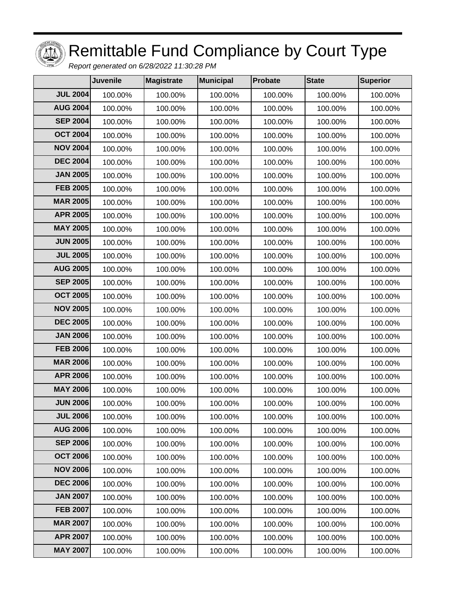

## Remittable Fund Compliance by Court Type

Report generated on 6/28/2022 11:30:28 PM

|                 | <b>Juvenile</b> | Magistrate | <b>Municipal</b> | <b>Probate</b> | <b>State</b> | <b>Superior</b> |
|-----------------|-----------------|------------|------------------|----------------|--------------|-----------------|
| <b>JUL 2004</b> | 100.00%         | 100.00%    | 100.00%          | 100.00%        | 100.00%      | 100.00%         |
| <b>AUG 2004</b> | 100.00%         | 100.00%    | 100.00%          | 100.00%        | 100.00%      | 100.00%         |
| <b>SEP 2004</b> | 100.00%         | 100.00%    | 100.00%          | 100.00%        | 100.00%      | 100.00%         |
| <b>OCT 2004</b> | 100.00%         | 100.00%    | 100.00%          | 100.00%        | 100.00%      | 100.00%         |
| <b>NOV 2004</b> | 100.00%         | 100.00%    | 100.00%          | 100.00%        | 100.00%      | 100.00%         |
| <b>DEC 2004</b> | 100.00%         | 100.00%    | 100.00%          | 100.00%        | 100.00%      | 100.00%         |
| <b>JAN 2005</b> | 100.00%         | 100.00%    | 100.00%          | 100.00%        | 100.00%      | 100.00%         |
| <b>FEB 2005</b> | 100.00%         | 100.00%    | 100.00%          | 100.00%        | 100.00%      | 100.00%         |
| <b>MAR 2005</b> | 100.00%         | 100.00%    | 100.00%          | 100.00%        | 100.00%      | 100.00%         |
| <b>APR 2005</b> | 100.00%         | 100.00%    | 100.00%          | 100.00%        | 100.00%      | 100.00%         |
| <b>MAY 2005</b> | 100.00%         | 100.00%    | 100.00%          | 100.00%        | 100.00%      | 100.00%         |
| <b>JUN 2005</b> | 100.00%         | 100.00%    | 100.00%          | 100.00%        | 100.00%      | 100.00%         |
| <b>JUL 2005</b> | 100.00%         | 100.00%    | 100.00%          | 100.00%        | 100.00%      | 100.00%         |
| <b>AUG 2005</b> | 100.00%         | 100.00%    | 100.00%          | 100.00%        | 100.00%      | 100.00%         |
| <b>SEP 2005</b> | 100.00%         | 100.00%    | 100.00%          | 100.00%        | 100.00%      | 100.00%         |
| <b>OCT 2005</b> | 100.00%         | 100.00%    | 100.00%          | 100.00%        | 100.00%      | 100.00%         |
| <b>NOV 2005</b> | 100.00%         | 100.00%    | 100.00%          | 100.00%        | 100.00%      | 100.00%         |
| <b>DEC 2005</b> | 100.00%         | 100.00%    | 100.00%          | 100.00%        | 100.00%      | 100.00%         |
| <b>JAN 2006</b> | 100.00%         | 100.00%    | 100.00%          | 100.00%        | 100.00%      | 100.00%         |
| <b>FEB 2006</b> | 100.00%         | 100.00%    | 100.00%          | 100.00%        | 100.00%      | 100.00%         |
| <b>MAR 2006</b> | 100.00%         | 100.00%    | 100.00%          | 100.00%        | 100.00%      | 100.00%         |
| <b>APR 2006</b> | 100.00%         | 100.00%    | 100.00%          | 100.00%        | 100.00%      | 100.00%         |
| <b>MAY 2006</b> | 100.00%         | 100.00%    | 100.00%          | 100.00%        | 100.00%      | 100.00%         |
| <b>JUN 2006</b> | 100.00%         | 100.00%    | 100.00%          | 100.00%        | 100.00%      | 100.00%         |
| <b>JUL 2006</b> | 100.00%         | 100.00%    | 100.00%          | 100.00%        | 100.00%      | 100.00%         |
| <b>AUG 2006</b> | 100.00%         | 100.00%    | 100.00%          | 100.00%        | 100.00%      | 100.00%         |
| <b>SEP 2006</b> | 100.00%         | 100.00%    | 100.00%          | 100.00%        | 100.00%      | 100.00%         |
| <b>OCT 2006</b> | 100.00%         | 100.00%    | 100.00%          | 100.00%        | 100.00%      | 100.00%         |
| <b>NOV 2006</b> | 100.00%         | 100.00%    | 100.00%          | 100.00%        | 100.00%      | 100.00%         |
| <b>DEC 2006</b> | 100.00%         | 100.00%    | 100.00%          | 100.00%        | 100.00%      | 100.00%         |
| <b>JAN 2007</b> | 100.00%         | 100.00%    | 100.00%          | 100.00%        | 100.00%      | 100.00%         |
| <b>FEB 2007</b> | 100.00%         | 100.00%    | 100.00%          | 100.00%        | 100.00%      | 100.00%         |
| <b>MAR 2007</b> | 100.00%         | 100.00%    | 100.00%          | 100.00%        | 100.00%      | 100.00%         |
| <b>APR 2007</b> | 100.00%         | 100.00%    | 100.00%          | 100.00%        | 100.00%      | 100.00%         |
| <b>MAY 2007</b> | 100.00%         | 100.00%    | 100.00%          | 100.00%        | 100.00%      | 100.00%         |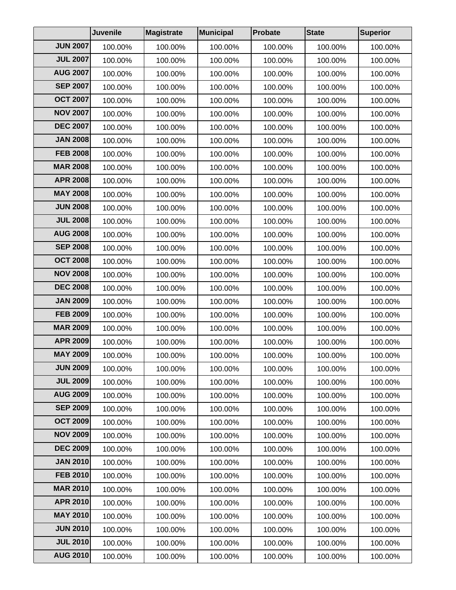|                 | Juvenile | Magistrate | Municipal | <b>Probate</b> | <b>State</b> | <b>Superior</b> |
|-----------------|----------|------------|-----------|----------------|--------------|-----------------|
| <b>JUN 2007</b> | 100.00%  | 100.00%    | 100.00%   | 100.00%        | 100.00%      | 100.00%         |
| <b>JUL 2007</b> | 100.00%  | 100.00%    | 100.00%   | 100.00%        | 100.00%      | 100.00%         |
| <b>AUG 2007</b> | 100.00%  | 100.00%    | 100.00%   | 100.00%        | 100.00%      | 100.00%         |
| <b>SEP 2007</b> | 100.00%  | 100.00%    | 100.00%   | 100.00%        | 100.00%      | 100.00%         |
| <b>OCT 2007</b> | 100.00%  | 100.00%    | 100.00%   | 100.00%        | 100.00%      | 100.00%         |
| <b>NOV 2007</b> | 100.00%  | 100.00%    | 100.00%   | 100.00%        | 100.00%      | 100.00%         |
| <b>DEC 2007</b> | 100.00%  | 100.00%    | 100.00%   | 100.00%        | 100.00%      | 100.00%         |
| <b>JAN 2008</b> | 100.00%  | 100.00%    | 100.00%   | 100.00%        | 100.00%      | 100.00%         |
| <b>FEB 2008</b> | 100.00%  | 100.00%    | 100.00%   | 100.00%        | 100.00%      | 100.00%         |
| <b>MAR 2008</b> | 100.00%  | 100.00%    | 100.00%   | 100.00%        | 100.00%      | 100.00%         |
| <b>APR 2008</b> | 100.00%  | 100.00%    | 100.00%   | 100.00%        | 100.00%      | 100.00%         |
| <b>MAY 2008</b> | 100.00%  | 100.00%    | 100.00%   | 100.00%        | 100.00%      | 100.00%         |
| <b>JUN 2008</b> | 100.00%  | 100.00%    | 100.00%   | 100.00%        | 100.00%      | 100.00%         |
| <b>JUL 2008</b> | 100.00%  | 100.00%    | 100.00%   | 100.00%        | 100.00%      | 100.00%         |
| <b>AUG 2008</b> | 100.00%  | 100.00%    | 100.00%   | 100.00%        | 100.00%      | 100.00%         |
| <b>SEP 2008</b> | 100.00%  | 100.00%    | 100.00%   | 100.00%        | 100.00%      | 100.00%         |
| <b>OCT 2008</b> | 100.00%  | 100.00%    | 100.00%   | 100.00%        | 100.00%      | 100.00%         |
| <b>NOV 2008</b> | 100.00%  | 100.00%    | 100.00%   | 100.00%        | 100.00%      | 100.00%         |
| <b>DEC 2008</b> | 100.00%  | 100.00%    | 100.00%   | 100.00%        | 100.00%      | 100.00%         |
| <b>JAN 2009</b> | 100.00%  | 100.00%    | 100.00%   | 100.00%        | 100.00%      | 100.00%         |
| <b>FEB 2009</b> | 100.00%  | 100.00%    | 100.00%   | 100.00%        | 100.00%      | 100.00%         |
| <b>MAR 2009</b> | 100.00%  | 100.00%    | 100.00%   | 100.00%        | 100.00%      | 100.00%         |
| <b>APR 2009</b> | 100.00%  | 100.00%    | 100.00%   | 100.00%        | 100.00%      | 100.00%         |
| <b>MAY 2009</b> | 100.00%  | 100.00%    | 100.00%   | 100.00%        | 100.00%      | 100.00%         |
| <b>JUN 2009</b> | 100.00%  | 100.00%    | 100.00%   | 100.00%        | 100.00%      | 100.00%         |
| <b>JUL 2009</b> | 100.00%  | 100.00%    | 100.00%   | 100.00%        | 100.00%      | 100.00%         |
| <b>AUG 2009</b> | 100.00%  | 100.00%    | 100.00%   | 100.00%        | 100.00%      | 100.00%         |
| <b>SEP 2009</b> | 100.00%  | 100.00%    | 100.00%   | 100.00%        | 100.00%      | 100.00%         |
| <b>OCT 2009</b> | 100.00%  | 100.00%    | 100.00%   | 100.00%        | 100.00%      | 100.00%         |
| <b>NOV 2009</b> | 100.00%  | 100.00%    | 100.00%   | 100.00%        | 100.00%      | 100.00%         |
| <b>DEC 2009</b> | 100.00%  | 100.00%    | 100.00%   | 100.00%        | 100.00%      | 100.00%         |
| <b>JAN 2010</b> | 100.00%  | 100.00%    | 100.00%   | 100.00%        | 100.00%      | 100.00%         |
| <b>FEB 2010</b> | 100.00%  | 100.00%    | 100.00%   | 100.00%        | 100.00%      | 100.00%         |
| <b>MAR 2010</b> | 100.00%  | 100.00%    | 100.00%   | 100.00%        | 100.00%      | 100.00%         |
| <b>APR 2010</b> | 100.00%  | 100.00%    | 100.00%   | 100.00%        | 100.00%      | 100.00%         |
| <b>MAY 2010</b> | 100.00%  | 100.00%    | 100.00%   | 100.00%        | 100.00%      | 100.00%         |
| <b>JUN 2010</b> | 100.00%  | 100.00%    | 100.00%   | 100.00%        | 100.00%      | 100.00%         |
| <b>JUL 2010</b> | 100.00%  | 100.00%    | 100.00%   | 100.00%        | 100.00%      | 100.00%         |
| <b>AUG 2010</b> | 100.00%  | 100.00%    | 100.00%   | 100.00%        | 100.00%      | 100.00%         |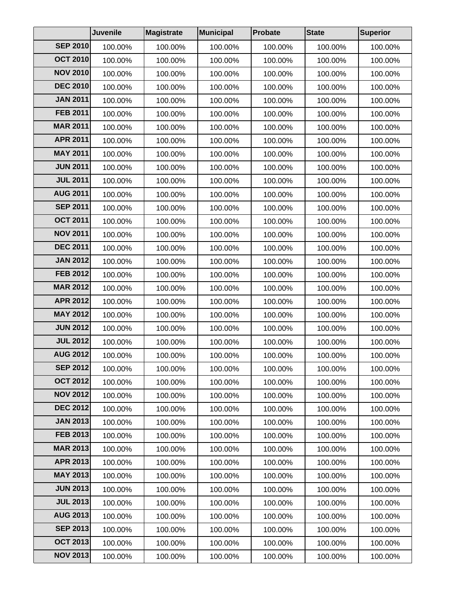|                 | Juvenile | Magistrate | Municipal | Probate | <b>State</b> | <b>Superior</b> |
|-----------------|----------|------------|-----------|---------|--------------|-----------------|
| <b>SEP 2010</b> | 100.00%  | 100.00%    | 100.00%   | 100.00% | 100.00%      | 100.00%         |
| <b>OCT 2010</b> | 100.00%  | 100.00%    | 100.00%   | 100.00% | 100.00%      | 100.00%         |
| <b>NOV 2010</b> | 100.00%  | 100.00%    | 100.00%   | 100.00% | 100.00%      | 100.00%         |
| <b>DEC 2010</b> | 100.00%  | 100.00%    | 100.00%   | 100.00% | 100.00%      | 100.00%         |
| <b>JAN 2011</b> | 100.00%  | 100.00%    | 100.00%   | 100.00% | 100.00%      | 100.00%         |
| <b>FEB 2011</b> | 100.00%  | 100.00%    | 100.00%   | 100.00% | 100.00%      | 100.00%         |
| <b>MAR 2011</b> | 100.00%  | 100.00%    | 100.00%   | 100.00% | 100.00%      | 100.00%         |
| <b>APR 2011</b> | 100.00%  | 100.00%    | 100.00%   | 100.00% | 100.00%      | 100.00%         |
| <b>MAY 2011</b> | 100.00%  | 100.00%    | 100.00%   | 100.00% | 100.00%      | 100.00%         |
| <b>JUN 2011</b> | 100.00%  | 100.00%    | 100.00%   | 100.00% | 100.00%      | 100.00%         |
| <b>JUL 2011</b> | 100.00%  | 100.00%    | 100.00%   | 100.00% | 100.00%      | 100.00%         |
| <b>AUG 2011</b> | 100.00%  | 100.00%    | 100.00%   | 100.00% | 100.00%      | 100.00%         |
| <b>SEP 2011</b> | 100.00%  | 100.00%    | 100.00%   | 100.00% | 100.00%      | 100.00%         |
| <b>OCT 2011</b> | 100.00%  | 100.00%    | 100.00%   | 100.00% | 100.00%      | 100.00%         |
| <b>NOV 2011</b> | 100.00%  | 100.00%    | 100.00%   | 100.00% | 100.00%      | 100.00%         |
| <b>DEC 2011</b> | 100.00%  | 100.00%    | 100.00%   | 100.00% | 100.00%      | 100.00%         |
| <b>JAN 2012</b> | 100.00%  | 100.00%    | 100.00%   | 100.00% | 100.00%      | 100.00%         |
| <b>FEB 2012</b> | 100.00%  | 100.00%    | 100.00%   | 100.00% | 100.00%      | 100.00%         |
| <b>MAR 2012</b> | 100.00%  | 100.00%    | 100.00%   | 100.00% | 100.00%      | 100.00%         |
| <b>APR 2012</b> | 100.00%  | 100.00%    | 100.00%   | 100.00% | 100.00%      | 100.00%         |
| <b>MAY 2012</b> | 100.00%  | 100.00%    | 100.00%   | 100.00% | 100.00%      | 100.00%         |
| <b>JUN 2012</b> | 100.00%  | 100.00%    | 100.00%   | 100.00% | 100.00%      | 100.00%         |
| <b>JUL 2012</b> | 100.00%  | 100.00%    | 100.00%   | 100.00% | 100.00%      | 100.00%         |
| <b>AUG 2012</b> | 100.00%  | 100.00%    | 100.00%   | 100.00% | 100.00%      | 100.00%         |
| <b>SEP 2012</b> | 100.00%  | 100.00%    | 100.00%   | 100.00% | 100.00%      | 100.00%         |
| <b>OCT 2012</b> | 100.00%  | 100.00%    | 100.00%   | 100.00% | 100.00%      | 100.00%         |
| <b>NOV 2012</b> | 100.00%  | 100.00%    | 100.00%   | 100.00% | 100.00%      | 100.00%         |
| <b>DEC 2012</b> | 100.00%  | 100.00%    | 100.00%   | 100.00% | 100.00%      | 100.00%         |
| <b>JAN 2013</b> | 100.00%  | 100.00%    | 100.00%   | 100.00% | 100.00%      | 100.00%         |
| FEB 2013        | 100.00%  | 100.00%    | 100.00%   | 100.00% | 100.00%      | 100.00%         |
| <b>MAR 2013</b> | 100.00%  | 100.00%    | 100.00%   | 100.00% | 100.00%      | 100.00%         |
| <b>APR 2013</b> | 100.00%  | 100.00%    | 100.00%   | 100.00% | 100.00%      | 100.00%         |
| <b>MAY 2013</b> | 100.00%  | 100.00%    | 100.00%   | 100.00% | 100.00%      | 100.00%         |
| <b>JUN 2013</b> | 100.00%  | 100.00%    | 100.00%   | 100.00% | 100.00%      | 100.00%         |
| <b>JUL 2013</b> | 100.00%  | 100.00%    | 100.00%   | 100.00% | 100.00%      | 100.00%         |
| <b>AUG 2013</b> | 100.00%  | 100.00%    | 100.00%   | 100.00% | 100.00%      | 100.00%         |
| <b>SEP 2013</b> | 100.00%  | 100.00%    | 100.00%   | 100.00% | 100.00%      | 100.00%         |
| <b>OCT 2013</b> | 100.00%  | 100.00%    | 100.00%   | 100.00% | 100.00%      | 100.00%         |
| <b>NOV 2013</b> | 100.00%  | 100.00%    | 100.00%   | 100.00% | 100.00%      | 100.00%         |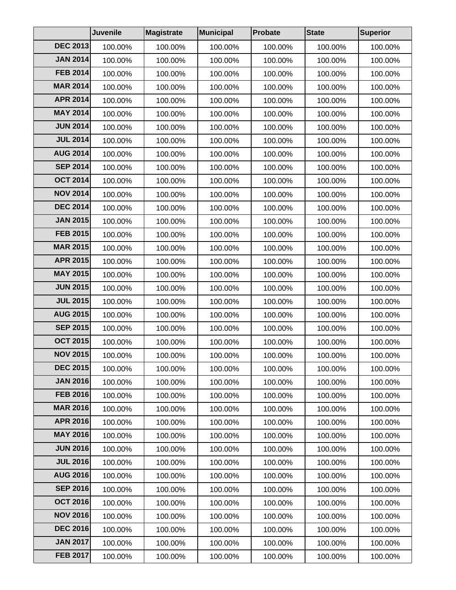|                 | Juvenile | Magistrate | Municipal | Probate | <b>State</b> | <b>Superior</b> |
|-----------------|----------|------------|-----------|---------|--------------|-----------------|
| <b>DEC 2013</b> | 100.00%  | 100.00%    | 100.00%   | 100.00% | 100.00%      | 100.00%         |
| <b>JAN 2014</b> | 100.00%  | 100.00%    | 100.00%   | 100.00% | 100.00%      | 100.00%         |
| <b>FEB 2014</b> | 100.00%  | 100.00%    | 100.00%   | 100.00% | 100.00%      | 100.00%         |
| <b>MAR 2014</b> | 100.00%  | 100.00%    | 100.00%   | 100.00% | 100.00%      | 100.00%         |
| <b>APR 2014</b> | 100.00%  | 100.00%    | 100.00%   | 100.00% | 100.00%      | 100.00%         |
| <b>MAY 2014</b> | 100.00%  | 100.00%    | 100.00%   | 100.00% | 100.00%      | 100.00%         |
| <b>JUN 2014</b> | 100.00%  | 100.00%    | 100.00%   | 100.00% | 100.00%      | 100.00%         |
| <b>JUL 2014</b> | 100.00%  | 100.00%    | 100.00%   | 100.00% | 100.00%      | 100.00%         |
| <b>AUG 2014</b> | 100.00%  | 100.00%    | 100.00%   | 100.00% | 100.00%      | 100.00%         |
| <b>SEP 2014</b> | 100.00%  | 100.00%    | 100.00%   | 100.00% | 100.00%      | 100.00%         |
| <b>OCT 2014</b> | 100.00%  | 100.00%    | 100.00%   | 100.00% | 100.00%      | 100.00%         |
| <b>NOV 2014</b> | 100.00%  | 100.00%    | 100.00%   | 100.00% | 100.00%      | 100.00%         |
| <b>DEC 2014</b> | 100.00%  | 100.00%    | 100.00%   | 100.00% | 100.00%      | 100.00%         |
| <b>JAN 2015</b> | 100.00%  | 100.00%    | 100.00%   | 100.00% | 100.00%      | 100.00%         |
| <b>FEB 2015</b> | 100.00%  | 100.00%    | 100.00%   | 100.00% | 100.00%      | 100.00%         |
| <b>MAR 2015</b> | 100.00%  | 100.00%    | 100.00%   | 100.00% | 100.00%      | 100.00%         |
| <b>APR 2015</b> | 100.00%  | 100.00%    | 100.00%   | 100.00% | 100.00%      | 100.00%         |
| <b>MAY 2015</b> | 100.00%  | 100.00%    | 100.00%   | 100.00% | 100.00%      | 100.00%         |
| <b>JUN 2015</b> | 100.00%  | 100.00%    | 100.00%   | 100.00% | 100.00%      | 100.00%         |
| <b>JUL 2015</b> | 100.00%  | 100.00%    | 100.00%   | 100.00% | 100.00%      | 100.00%         |
| <b>AUG 2015</b> | 100.00%  | 100.00%    | 100.00%   | 100.00% | 100.00%      | 100.00%         |
| <b>SEP 2015</b> | 100.00%  | 100.00%    | 100.00%   | 100.00% | 100.00%      | 100.00%         |
| <b>OCT 2015</b> | 100.00%  | 100.00%    | 100.00%   | 100.00% | 100.00%      | 100.00%         |
| <b>NOV 2015</b> | 100.00%  | 100.00%    | 100.00%   | 100.00% | 100.00%      | 100.00%         |
| <b>DEC 2015</b> | 100.00%  | 100.00%    | 100.00%   | 100.00% | 100.00%      | 100.00%         |
| <b>JAN 2016</b> | 100.00%  | 100.00%    | 100.00%   | 100.00% | 100.00%      | 100.00%         |
| <b>FEB 2016</b> | 100.00%  | 100.00%    | 100.00%   | 100.00% | 100.00%      | 100.00%         |
| <b>MAR 2016</b> | 100.00%  | 100.00%    | 100.00%   | 100.00% | 100.00%      | 100.00%         |
| <b>APR 2016</b> | 100.00%  | 100.00%    | 100.00%   | 100.00% | 100.00%      | 100.00%         |
| <b>MAY 2016</b> | 100.00%  | 100.00%    | 100.00%   | 100.00% | 100.00%      | 100.00%         |
| <b>JUN 2016</b> | 100.00%  | 100.00%    | 100.00%   | 100.00% | 100.00%      | 100.00%         |
| <b>JUL 2016</b> | 100.00%  | 100.00%    | 100.00%   | 100.00% | 100.00%      | 100.00%         |
| <b>AUG 2016</b> | 100.00%  | 100.00%    | 100.00%   | 100.00% | 100.00%      | 100.00%         |
| <b>SEP 2016</b> | 100.00%  | 100.00%    | 100.00%   | 100.00% | 100.00%      | 100.00%         |
| <b>OCT 2016</b> | 100.00%  | 100.00%    | 100.00%   | 100.00% | 100.00%      | 100.00%         |
| <b>NOV 2016</b> | 100.00%  | 100.00%    | 100.00%   | 100.00% | 100.00%      | 100.00%         |
| <b>DEC 2016</b> | 100.00%  | 100.00%    | 100.00%   | 100.00% | 100.00%      | 100.00%         |
| <b>JAN 2017</b> | 100.00%  | 100.00%    | 100.00%   | 100.00% | 100.00%      | 100.00%         |
| <b>FEB 2017</b> | 100.00%  | 100.00%    | 100.00%   | 100.00% | 100.00%      | 100.00%         |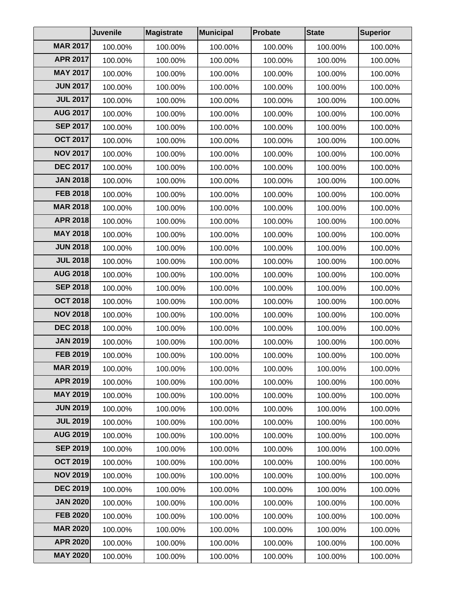|                 | <b>Juvenile</b> | Magistrate | Municipal | Probate | <b>State</b> | <b>Superior</b> |
|-----------------|-----------------|------------|-----------|---------|--------------|-----------------|
| <b>MAR 2017</b> | 100.00%         | 100.00%    | 100.00%   | 100.00% | 100.00%      | 100.00%         |
| <b>APR 2017</b> | 100.00%         | 100.00%    | 100.00%   | 100.00% | 100.00%      | 100.00%         |
| <b>MAY 2017</b> | 100.00%         | 100.00%    | 100.00%   | 100.00% | 100.00%      | 100.00%         |
| <b>JUN 2017</b> | 100.00%         | 100.00%    | 100.00%   | 100.00% | 100.00%      | 100.00%         |
| <b>JUL 2017</b> | 100.00%         | 100.00%    | 100.00%   | 100.00% | 100.00%      | 100.00%         |
| <b>AUG 2017</b> | 100.00%         | 100.00%    | 100.00%   | 100.00% | 100.00%      | 100.00%         |
| <b>SEP 2017</b> | 100.00%         | 100.00%    | 100.00%   | 100.00% | 100.00%      | 100.00%         |
| <b>OCT 2017</b> | 100.00%         | 100.00%    | 100.00%   | 100.00% | 100.00%      | 100.00%         |
| <b>NOV 2017</b> | 100.00%         | 100.00%    | 100.00%   | 100.00% | 100.00%      | 100.00%         |
| <b>DEC 2017</b> | 100.00%         | 100.00%    | 100.00%   | 100.00% | 100.00%      | 100.00%         |
| <b>JAN 2018</b> | 100.00%         | 100.00%    | 100.00%   | 100.00% | 100.00%      | 100.00%         |
| <b>FEB 2018</b> | 100.00%         | 100.00%    | 100.00%   | 100.00% | 100.00%      | 100.00%         |
| <b>MAR 2018</b> | 100.00%         | 100.00%    | 100.00%   | 100.00% | 100.00%      | 100.00%         |
| <b>APR 2018</b> | 100.00%         | 100.00%    | 100.00%   | 100.00% | 100.00%      | 100.00%         |
| <b>MAY 2018</b> | 100.00%         | 100.00%    | 100.00%   | 100.00% | 100.00%      | 100.00%         |
| <b>JUN 2018</b> | 100.00%         | 100.00%    | 100.00%   | 100.00% | 100.00%      | 100.00%         |
| <b>JUL 2018</b> | 100.00%         | 100.00%    | 100.00%   | 100.00% | 100.00%      | 100.00%         |
| <b>AUG 2018</b> | 100.00%         | 100.00%    | 100.00%   | 100.00% | 100.00%      | 100.00%         |
| <b>SEP 2018</b> | 100.00%         | 100.00%    | 100.00%   | 100.00% | 100.00%      | 100.00%         |
| <b>OCT 2018</b> | 100.00%         | 100.00%    | 100.00%   | 100.00% | 100.00%      | 100.00%         |
| <b>NOV 2018</b> | 100.00%         | 100.00%    | 100.00%   | 100.00% | 100.00%      | 100.00%         |
| <b>DEC 2018</b> | 100.00%         | 100.00%    | 100.00%   | 100.00% | 100.00%      | 100.00%         |
| <b>JAN 2019</b> | 100.00%         | 100.00%    | 100.00%   | 100.00% | 100.00%      | 100.00%         |
| <b>FEB 2019</b> | 100.00%         | 100.00%    | 100.00%   | 100.00% | 100.00%      | 100.00%         |
| <b>MAR 2019</b> | 100.00%         | 100.00%    | 100.00%   | 100.00% | 100.00%      | 100.00%         |
| <b>APR 2019</b> | 100.00%         | 100.00%    | 100.00%   | 100.00% | 100.00%      | 100.00%         |
| <b>MAY 2019</b> | 100.00%         | 100.00%    | 100.00%   | 100.00% | 100.00%      | 100.00%         |
| <b>JUN 2019</b> | 100.00%         | 100.00%    | 100.00%   | 100.00% | 100.00%      | 100.00%         |
| <b>JUL 2019</b> | 100.00%         | 100.00%    | 100.00%   | 100.00% | 100.00%      | 100.00%         |
| <b>AUG 2019</b> | 100.00%         | 100.00%    | 100.00%   | 100.00% | 100.00%      | 100.00%         |
| <b>SEP 2019</b> | 100.00%         | 100.00%    | 100.00%   | 100.00% | 100.00%      | 100.00%         |
| <b>OCT 2019</b> | 100.00%         | 100.00%    | 100.00%   | 100.00% | 100.00%      | 100.00%         |
| <b>NOV 2019</b> | 100.00%         | 100.00%    | 100.00%   | 100.00% | 100.00%      | 100.00%         |
| <b>DEC 2019</b> | 100.00%         | 100.00%    | 100.00%   | 100.00% | 100.00%      | 100.00%         |
| <b>JAN 2020</b> | 100.00%         | 100.00%    | 100.00%   | 100.00% | 100.00%      | 100.00%         |
| <b>FEB 2020</b> | 100.00%         | 100.00%    | 100.00%   | 100.00% | 100.00%      | 100.00%         |
| <b>MAR 2020</b> | 100.00%         | 100.00%    | 100.00%   | 100.00% | 100.00%      | 100.00%         |
| <b>APR 2020</b> | 100.00%         | 100.00%    | 100.00%   | 100.00% | 100.00%      | 100.00%         |
| <b>MAY 2020</b> | 100.00%         | 100.00%    | 100.00%   | 100.00% | 100.00%      | 100.00%         |